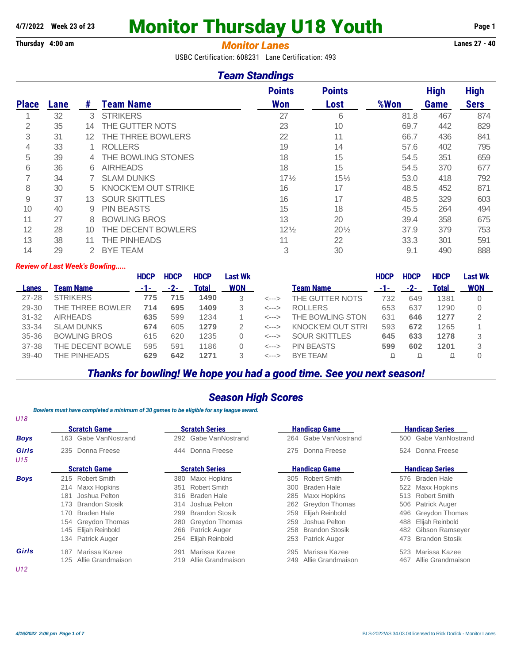# A/7/2022 Week 23 of 23 **Monitor Thursday U18 Youth** Page 1

## **Thursday 4:00 am** *Monitor Lanes* **Lanes 27 - 40**

USBC Certification: 608231 Lane Certification: 493

### *Team Standings*

|              |      |    |                            | <b>Points</b>   | <b>Points</b>   |      | <b>High</b> | <b>High</b> |
|--------------|------|----|----------------------------|-----------------|-----------------|------|-------------|-------------|
| <b>Place</b> | Lane | #  | <b>Team Name</b>           | <b>Won</b>      | Lost            | %Won | Game        | <b>Sers</b> |
|              | 32   | 3  | <b>STRIKERS</b>            | 27              | 6               | 81.8 | 467         | 874         |
| 2            | 35   | 14 | THE GUTTER NOTS            | 23              | 10              | 69.7 | 442         | 829         |
| 3            | 31   | 12 | THE THREE BOWLERS          | 22              | 11              | 66.7 | 436         | 841         |
| 4            | 33   |    | <b>ROLLERS</b>             | 19              | 14              | 57.6 | 402         | 795         |
| 5            | 39   | 4  | THE BOWLING STONES         | 18              | 15              | 54.5 | 351         | 659         |
| 6            | 36   | 6  | <b>AIRHEADS</b>            | 18              | 15              | 54.5 | 370         | 677         |
|              | 34   |    | <b>SLAM DUNKS</b>          | $17\frac{1}{2}$ | $15\frac{1}{2}$ | 53.0 | 418         | 792         |
| 8            | 30   | 5  | <b>KNOCK'EM OUT STRIKE</b> | 16              | 17              | 48.5 | 452         | 871         |
| 9            | 37   | 13 | <b>SOUR SKITTLES</b>       | 16              | 17              | 48.5 | 329         | 603         |
| 10           | 40   | 9  | <b>PIN BEASTS</b>          | 15              | 18              | 45.5 | 264         | 494         |
| 11           | 27   | 8  | <b>BOWLING BROS</b>        | 13              | 20              | 39.4 | 358         | 675         |
| 12           | 28   | 10 | THE DECENT BOWLERS         | $12\frac{1}{2}$ | $20\frac{1}{2}$ | 37.9 | 379         | 753         |
| 13           | 38   |    | THE PINHEADS               | 11              | 22              | 33.3 | 301         | 591         |
| 14           | 29   |    | <b>BYE TEAM</b>            | 3               | 30              | 9.1  | 490         | 888         |

#### *Review of Last Week's Bowling.....*

|              |                     | <b>HDCP</b> | <b>HDCP</b> | <b>HDCP</b> | Last Wk    |                  |                      | <b>HDCP</b> | <b>HDCP</b> | <b>HDCP</b>  | Last Wk    |
|--------------|---------------------|-------------|-------------|-------------|------------|------------------|----------------------|-------------|-------------|--------------|------------|
| <b>Lanes</b> | Team Name           | -1-         | $-2-$       | Total       | <b>WON</b> |                  | <b>Team Name</b>     | -1-         | -2-         | <b>Total</b> | <b>WON</b> |
| $27 - 28$    | <b>STRIKERS</b>     | 775         | 715         | 1490        | 3          | $\leftarrow$ --> | THE GUTTER NOTS      | 732         | 649         | 1381         |            |
| 29-30        | THE THREE BOWLER    | 714         | 695         | 1409        |            | $\leftarrow$ --> | <b>ROLLERS</b>       | 653         | 637         | 1290         |            |
| $31 - 32$    | <b>AIRHEADS</b>     | 635         | 599         | 1234        |            | $\leftarrow$ --> | THE BOWLING STON     | 631         | 646         | 1277         | 2          |
| $33 - 34$    | <b>SLAM DUNKS</b>   | 674         | 605         | 1279        |            | $\leftarrow$ --> | KNOCK'EM OUT STRI    | 593         | 672         | 1265         |            |
| $35 - 36$    | <b>BOWLING BROS</b> | 615         | 620         | 1235        |            | $\leftarrow$ --> | <b>SOUR SKITTLES</b> | 645         | 633         | 1278         | 3          |
| $37 - 38$    | THE DECENT BOWLE    | 595         | 591         | 1186        |            | $\leftarrow$ --> | <b>PIN BEASTS</b>    | 599         | 602         | 1201         | 3          |
| $39 - 40$    | THE PINHEADS        | 629         | 642         | 1271        |            | <--->            | <b>BYE TEAM</b>      |             |             |              |            |

## *Thanks for bowling! We hope you had a good time. See you next season!*

### *Season High Scores*

*Bowlers must have completed a minimum of 30 games to be eligible for any league award.*

| U18          |                              |                              |                              |                               |  |  |
|--------------|------------------------------|------------------------------|------------------------------|-------------------------------|--|--|
|              | <b>Scratch Game</b>          | <b>Scratch Series</b>        | <b>Handicap Game</b>         | <b>Handicap Series</b>        |  |  |
| <b>Boys</b>  | 163 Gabe VanNostrand         | 292 Gabe VanNostrand         | 264 Gabe VanNostrand         | 500 Gabe VanNostrand          |  |  |
| Girls<br>U15 | 235 Donna Freese             | 444 Donna Freese             | Donna Freese<br>275          | Donna Freese<br>524           |  |  |
|              | <b>Scratch Game</b>          | <b>Scratch Series</b>        | <b>Handicap Game</b>         | <b>Handicap Series</b>        |  |  |
| <b>Boys</b>  | 215 Robert Smith             | 380 Maxx Hopkins             | 305 Robert Smith             | 576 Braden Hale               |  |  |
|              | 214 Maxx Hopkins             | Robert Smith<br>351          | Braden Hale<br>300           | Maxx Hopkins<br>522           |  |  |
|              | Joshua Pelton<br>181         | Braden Hale<br>316           | Maxx Hopkins<br>285          | <b>Robert Smith</b><br>513    |  |  |
|              | <b>Brandon Stosik</b><br>173 | 314 Joshua Pelton            | 262 Greydon Thomas           | 506 Patrick Auger             |  |  |
|              | 170<br>Braden Hale           | <b>Brandon Stosik</b><br>299 | Elijah Reinbold<br>259       | 496 Greydon Thomas            |  |  |
|              | 154 Greydon Thomas           | 280 Greydon Thomas           | Joshua Pelton<br>259         | 488 Elijah Reinbold           |  |  |
|              | 145 Elijah Reinbold          | 266 Patrick Auger            | <b>Brandon Stosik</b><br>258 | Gibson Ramseyer<br>482        |  |  |
|              | 134 Patrick Auger            | 254 Elijah Reinbold          | 253 Patrick Auger            | <b>Brandon Stosik</b><br>473. |  |  |
| Girls        | Marissa Kazee<br>187         | Marissa Kazee<br>291         | Marissa Kazee<br>295         | Marissa Kazee<br>523          |  |  |
|              | Allie Grandmaison<br>125     | Allie Grandmaison<br>219     | Allie Grandmaison<br>249     | Allie Grandmaison<br>467      |  |  |
| U12          |                              |                              |                              |                               |  |  |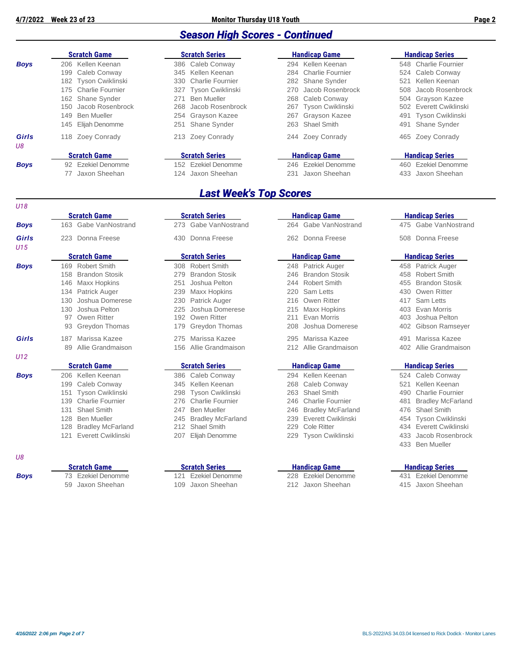### *Season High Scores - Continued*

| <b>Scratch Game</b>             | <b>Scratch Series</b>   | <b>Handicap Game</b>  | <b>Handicap Series</b>        |  |  |
|---------------------------------|-------------------------|-----------------------|-------------------------------|--|--|
| 206 Kellen Keenan               | 386 Caleb Conway        | 294 Kellen Keenan     | 548 Charlie Fournier          |  |  |
| Caleb Conway<br>199             | 345 Kellen Keenan       | 284 Charlie Fournier  | 524 Caleb Conway              |  |  |
| 182 Tyson Cwiklinski            | 330 Charlie Fournier    | 282 Shane Synder      | Kellen Keenan<br>521          |  |  |
| 175 Charlie Fournier            | 327 Tyson Cwiklinski    | 270 Jacob Rosenbrock  | 508 Jacob Rosenbrock          |  |  |
| 162 Shane Synder                | Ben Mueller<br>271      | 268 Caleb Conway      | 504 Grayson Kazee             |  |  |
| Jacob Rosenbrock<br>150         | Jacob Rosenbrock<br>268 | 267 Tyson Cwiklinski  | 502 Everett Cwiklinski        |  |  |
| <b>Ben Mueller</b><br>149       | 254 Grayson Kazee       | Grayson Kazee<br>267  | 491 Tyson Cwiklinski          |  |  |
| 145 Eliiah Denomme              | Shane Synder<br>251     | 263 Shael Smith       | <b>Shane Synder</b><br>491    |  |  |
| Zoey Conrady<br>118             | Zoey Conrady<br>213     | 244 Zoey Conrady      | 465 Zoey Conrady              |  |  |
|                                 |                         |                       |                               |  |  |
|                                 |                         |                       | <b>Handicap Series</b>        |  |  |
| Ezekiel Denomme<br>92           | Ezekiel Denomme<br>152  | 246 Ezekiel Denomme   | <b>Ezekiel Denomme</b><br>460 |  |  |
| Jaxon Sheehan<br>$\prime\prime$ | Jaxon Sheehan<br>124    | Jaxon Sheehan<br>231  | Jaxon Sheehan<br>433          |  |  |
|                                 | <b>Scratch Game</b>     | <b>Scratch Series</b> | <b>Handicap Game</b>          |  |  |

### *Last Week's Top Scores*

| U18          |                                 |                           |                                |                              |
|--------------|---------------------------------|---------------------------|--------------------------------|------------------------------|
|              | <b>Scratch Game</b>             | <b>Scratch Series</b>     | <b>Handicap Game</b>           | <b>Handicap Series</b>       |
| <b>Boys</b>  | Gabe VanNostrand<br>163         | 273 Gabe VanNostrand      | Gabe VanNostrand<br>264        | 475 Gabe VanNost             |
| Girls<br>U15 | 223 Donna Freese                | Donna Freese<br>430       | 262 Donna Freese               | Donna Freese<br>508          |
|              | <b>Scratch Game</b>             | <b>Scratch Series</b>     | <b>Handicap Game</b>           | <b>Handicap Series</b>       |
| <b>Boys</b>  | 169 Robert Smith                | 308 Robert Smith          | 248 Patrick Auger              | 458 Patrick Auger            |
|              | <b>Brandon Stosik</b>           | <b>Brandon Stosik</b>     | <b>Brandon Stosik</b>          | Robert Smith                 |
|              | 158                             | 279                       | 246                            | 458                          |
|              | 146                             | Joshua Pelton             | <b>Robert Smith</b>            | <b>Brandon Stosik</b>        |
|              | <b>Maxx Hopkins</b>             | 251                       | 244                            | 455                          |
|              | 134                             | 239                       | Sam Letts                      | Owen Ritter                  |
|              | Patrick Auger                   | Maxx Hopkins              | 220                            | 430                          |
|              | Joshua Domerese                 | Patrick Auger             | Owen Ritter                    | 417                          |
|              | 130                             | 230                       | 216                            | Sam Letts                    |
|              | Joshua Pelton                   | Joshua Domerese           | Maxx Hopkins                   | Evan Morris                  |
|              | 130                             | 225                       | 215                            | 403                          |
|              | Owen Ritter<br>97               | 192 Owen Ritter           | Evan Morris<br>211             | Joshua Pelton<br>403         |
|              | <b>Greydon Thomas</b>           | 179                       | Joshua Domerese                | Gibson Ramse                 |
|              | 93                              | Greydon Thomas            | 208                            | 402                          |
| Girls        | Marissa Kazee                   | Marissa Kazee             | Marissa Kazee                  | Marissa Kazee                |
|              | 187                             | 275                       | 295                            | 491                          |
|              | Allie Grandmaison               | Allie Grandmaison         | 212                            | Allie Grandmais              |
|              | 89                              | 156                       | Allie Grandmaison              | 402                          |
| U12          |                                 |                           |                                |                              |
|              | <b>Scratch Game</b>             | <b>Scratch Series</b>     | <b>Handicap Game</b>           | <b>Handicap Series</b>       |
| <b>Boys</b>  | Kellen Keenan<br>206            | 386 Caleb Conway          | Kellen Keenan<br>294           | Caleb Conway<br>524          |
|              | Caleb Conway                    | Kellen Keenan             | Caleb Conway                   | Kellen Keenan                |
|              | 199                             | 345                       | 268                            | 521                          |
|              | Tyson Cwiklinski                | Tyson Cwiklinski          | Shael Smith                    | <b>Charlie Fournie</b>       |
|              | 151                             | 298                       | 263                            | 490                          |
|              | <b>Charlie Fournier</b><br>139  | 276 Charlie Fournier      | <b>Charlie Fournier</b><br>246 | <b>Bradley McFarl</b><br>481 |
|              | <b>Shael Smith</b>              | 247                       | <b>Bradley McFarland</b>       | <b>Shael Smith</b>           |
|              | 131                             | <b>Ben Mueller</b>        | 246                            | 476                          |
|              | 128                             | <b>Bradley McFarland</b>  | Everett Cwiklinski             | <b>Tyson Cwiklins</b>        |
|              | <b>Ben Mueller</b>              | 245                       | 239                            | 454                          |
|              | 128<br><b>Bradley McFarland</b> | <b>Shael Smith</b><br>212 | <b>Cole Ritter</b><br>229      | 434 Everett Cwiklin          |
|              | Everett Cwiklinski              | Elijah Denomme            | <b>Tyson Cwiklinski</b>        | Jacob Rosenbi                |
|              | 121                             | 207                       | 229                            | 433                          |

#### *U8*

|             | <b>Scratch Game</b> | <b>Scratch Series</b> | <b>Handicap Game</b> | <b>Handicap Series</b> |
|-------------|---------------------|-----------------------|----------------------|------------------------|
| <b>Boys</b> | 73 Ezekiel Denomme  | 121 Ezekiel Denomme   | 228 Ezekiel Denomme  | 431 Ezekiel Denomme    |
|             | 59 Jaxon Sheehan    | 109 Jaxon Sheehan     | 212 Jaxon Sheehan    | 415 Jaxon Sheehan      |

|     | <b>100 GADE VAIIINUSUAIIU</b> |     | 210 Odve Vallivusudiju |     | 204 Gabe Vallivusudilu  |     | 470 GADE VAIINUSTAII     |
|-----|-------------------------------|-----|------------------------|-----|-------------------------|-----|--------------------------|
|     | 223 Donna Freese              |     | 430 Donna Freese       |     | 262 Donna Freese        |     | 508 Donna Freese         |
|     | <b>Scratch Game</b>           |     | <b>Scratch Series</b>  |     | <b>Handicap Game</b>    |     | <b>Handicap Series</b>   |
|     | 169 Robert Smith              |     | 308 Robert Smith       |     | 248 Patrick Auger       |     | 458 Patrick Auger        |
| 158 | <b>Brandon Stosik</b>         | 279 | <b>Brandon Stosik</b>  |     | 246 Brandon Stosik      | 458 | <b>Robert Smith</b>      |
| 146 | <b>Maxx Hopkins</b>           | 251 | Joshua Pelton          |     | 244 Robert Smith        | 455 | <b>Brandon Stosik</b>    |
|     | 134 Patrick Auger             | 239 | Maxx Hopkins           | 220 | Sam Letts               | 430 | Owen Ritter              |
|     | 130 Joshua Domerese           | 230 | Patrick Auger          | 216 | Owen Ritter             | 417 | Sam Letts                |
| 130 | Joshua Pelton                 | 225 | Joshua Domerese        | 215 | Maxx Hopkins            | 403 | Evan Morris              |
|     | 97 Owen Ritter                |     | 192 Owen Ritter        | 211 | Evan Morris             | 403 | Joshua Pelton            |
|     | 93 Greydon Thomas             |     | 179 Greydon Thomas     | 208 | Joshua Domerese         | 402 | <b>Gibson Ramseyer</b>   |
| 187 | Marissa Kazee                 |     | 275 Marissa Kazee      | 295 | Marissa Kazee           | 491 | Marissa Kazee            |
| 89  | Allie Grandmaison             |     | 156 Allie Grandmaison  |     | 212 Allie Grandmaison   | 402 | Allie Grandmaison        |
|     | <b>Scratch Game</b>           |     | <b>Scratch Series</b>  |     | <b>Handicap Game</b>    |     | <b>Handicap Series</b>   |
|     | 206 Kellen Keenan             |     | 386 Caleb Conway       |     | 294 Kellen Keenan       |     | 524 Caleb Conway         |
|     | 199 Caleb Conway              |     | 345 Kellen Keenan      | 268 | Caleb Conway            | 521 | Kellen Keenan            |
|     | 151 Tyson Cwiklinski          |     | 298 Tyson Cwiklinski   | 263 | <b>Shael Smith</b>      | 490 | <b>Charlie Fournier</b>  |
|     | 139 Charlie Fournier          |     | 276 Charlie Fournier   | 246 | <b>Charlie Fournier</b> | 481 | <b>Bradley McFarlano</b> |
|     | 131 Shael Smith               | 247 | <b>Ben Mueller</b>     |     | 246 Bradley McFarland   | 476 | <b>Shael Smith</b>       |
|     | 128 Ben Mueller               |     | 245 Bradley McFarland  |     | 239 Fyerett Cwiklinski  |     | 454 Tyson Cwiklinski     |

| <b>Scratch Series</b> |                     | <b>Handicap Game</b> | <b>Handicap Series</b> |                 |  |
|-----------------------|---------------------|----------------------|------------------------|-----------------|--|
|                       | 73 Gabe VanNostrand | 264 Gabe VanNostrand |                        | 475 Gabe VanNos |  |
|                       | 30 Donna Freese     | 262 Donna Freese     |                        | 508 Donna Frees |  |

| 248 | Patrick Auger                          |
|-----|----------------------------------------|
| 246 | <b>Brandon Stosik</b>                  |
| 244 | Robert Smith                           |
| 220 | Sam Letts                              |
| 216 | Owen Ritter                            |
| 215 | Maxx Hopkins                           |
| 211 | <b>Fvan Morris</b>                     |
| 208 | Joshua Domerese                        |
| 295 | Marissa Kazee<br>212 Allie Grandmaison |

| 386 Caleb Conway      | 294 Kellen Keenan      | 524 Caleb Conway       |
|-----------------------|------------------------|------------------------|
| 345 Kellen Keenan     | 268 Caleb Conway       | 521 Kellen Keenan      |
| 298 Tyson Cwiklinski  | 263 Shael Smith        | 490 Charlie Fournier   |
| 276 Charlie Fournier  | 246 Charlie Fournier   | 481 Bradley McFarland  |
| 247 Ben Mueller       | 246 Bradley McFarland  | 476 Shael Smith        |
| 245 Bradley McFarland | 239 Everett Cwiklinski | 454 Tyson Cwiklinski   |
| 212 Shael Smith       | 229 Cole Ritter        | 434 Everett Cwiklinski |
| 207 Elijah Denomme    | 229 Tyson Cwiklinski   | 433 Jacob Rosenbrock   |

59 Jaxon Sheehan 109 Jaxon Sheehan 212 Jaxon Sheehan 415 Jaxon Sheehan

- 475 Gabe VanNostrand
- 508 Donna Freese

#### **Scratch Game Scratch Series Handicap Game Handicap Series**

| 458 Patrick Auger                         |
|-------------------------------------------|
| 458 Robert Smith                          |
| 455 Brandon Stosik                        |
| 430 Owen Ritter                           |
| 417 Sam Letts                             |
| 403 Evan Morris                           |
| 403 Joshua Pelton                         |
| 402 Gibson Ramseye                        |
| 491 Marissa Kazee<br>402 Allie Grandmaisc |

#### **Scratch Game Scratch Series Handicap Game Handicap Series**

- 524 Caleb Conway 521 Kellen Keenan 490 Charlie Fournier 481 Bradley McFarland d 476 Shael Smith 454 Tyson Cwiklinski
	-
	- 433 Ben Mueller
	-

#### **Scratch Game Scratch Series Handicap Game Handicap Series**

- 
-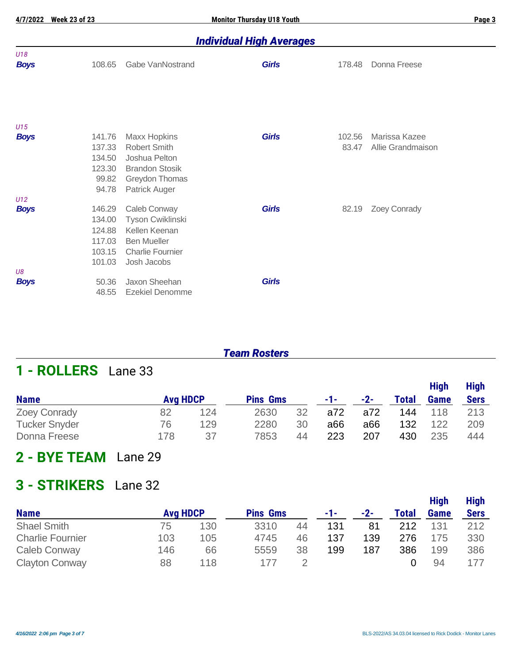## *Individual High Averages*

| U18<br><b>Boys</b> | 108.65 | Gabe VanNostrand        | <b>Girls</b> | 178.48 | Donna Freese      |
|--------------------|--------|-------------------------|--------------|--------|-------------------|
| U15                |        |                         |              |        |                   |
| <b>Boys</b>        | 141.76 | <b>Maxx Hopkins</b>     | <b>Girls</b> | 102.56 | Marissa Kazee     |
|                    | 137.33 | <b>Robert Smith</b>     |              | 83.47  | Allie Grandmaison |
|                    | 134.50 | Joshua Pelton           |              |        |                   |
|                    | 123.30 | <b>Brandon Stosik</b>   |              |        |                   |
|                    | 99.82  | Greydon Thomas          |              |        |                   |
|                    | 94.78  | Patrick Auger           |              |        |                   |
| U12                |        |                         |              |        |                   |
| <b>Boys</b>        | 146.29 | Caleb Conway            | <b>Girls</b> | 82.19  | Zoey Conrady      |
|                    | 134.00 | Tyson Cwiklinski        |              |        |                   |
|                    | 124.88 | Kellen Keenan           |              |        |                   |
|                    | 117.03 | <b>Ben Mueller</b>      |              |        |                   |
|                    | 103.15 | <b>Charlie Fournier</b> |              |        |                   |
|                    | 101.03 | Josh Jacobs             |              |        |                   |
| U8                 |        |                         |              |        |                   |
| <b>Boys</b>        | 50.36  | Jaxon Sheehan           | <b>Girls</b> |        |                   |
|                    | 48.55  | <b>Ezekiel Denomme</b>  |              |        |                   |
|                    |        |                         |              |        |                   |

## *Team Rosters*

## **1 - ROLLERS** Lane 33

|                      |                 |     |                 |    |     |       |       | <b>High</b> | <b>High</b> |
|----------------------|-----------------|-----|-----------------|----|-----|-------|-------|-------------|-------------|
| <b>Name</b>          | <b>Avg HDCP</b> |     | <b>Pins Gms</b> |    | -1- | $-2-$ | Total | Game        | <b>Sers</b> |
| <b>Zoey Conrady</b>  | 82              | 124 | 2630            | 32 | a72 | a72   | 144   | 118         | 213         |
| <b>Tucker Snyder</b> | 76              | 129 | 2280            | 30 | a66 | a66   | 132   | 122         | 209         |
| Donna Freese         | 178             | 37  | 7853            | 44 | 223 | 207   | 430   | 235         | 444         |

## **2 - BYE TEAM** Lane 29

## **3 - STRIKERS** Lane 32

|                         |                 |     |                 |    |     |     |              | <b>High</b> | <b>High</b> |
|-------------------------|-----------------|-----|-----------------|----|-----|-----|--------------|-------------|-------------|
| <b>Name</b>             | <b>Avg HDCP</b> |     | <b>Pins Gms</b> |    | -1- | -2- | <b>Total</b> | Game        | <b>Sers</b> |
| <b>Shael Smith</b>      | 75              | 130 | 3310            | 44 | 131 | 81  | 212          | 131         | 212         |
| <b>Charlie Fournier</b> | 103             | 105 | 4745            | 46 | 137 | 139 | 276          | 175         | 330         |
| <b>Caleb Conway</b>     | 146             | 66  | 5559            | 38 | 199 | 187 | 386          | 199         | 386         |
| <b>Clayton Conway</b>   | 88              | 118 | 177             |    |     |     |              | 94          |             |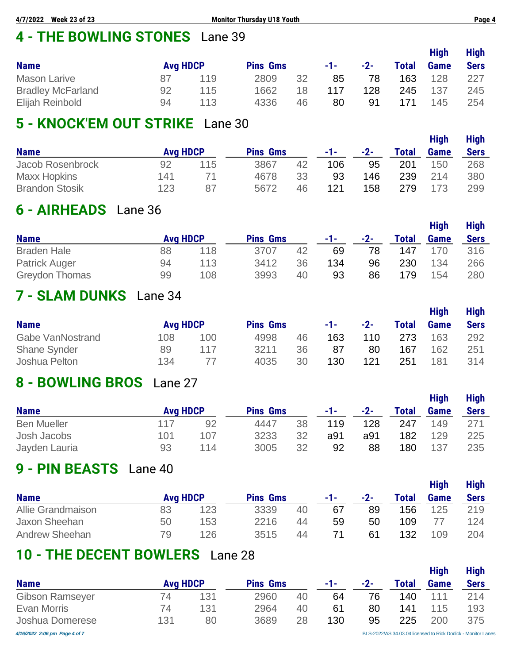# **4 - THE BOWLING STONES** Lane 39

|                          |                 |     |                 |    |     |       |              | <b>High</b> | <b>High</b> |
|--------------------------|-----------------|-----|-----------------|----|-----|-------|--------------|-------------|-------------|
| <b>Name</b>              | <b>Avg HDCP</b> |     | <b>Pins Gms</b> |    | -1- | $-2-$ | <b>Total</b> | <b>Game</b> | <b>Sers</b> |
| <b>Mason Larive</b>      | 87              | 119 | 2809            | 32 | 85  | 78    | 163          | 128         | 227         |
| <b>Bradley McFarland</b> | 92              | 115 | 1662            | 18 | 117 | 128   | 245          | 137         | 245         |
| Elijah Reinbold          | 94              | 113 | 4336            | 46 | 80  | 91    | 171          | 145         | 254         |

# **5 - KNOCK'EM OUT STRIKE** Lane 30

| <b>Name</b>           | <b>Avg HDCP</b> |     | <b>Pins Gms</b> |    | -1- | $-2-$ | <b>Total</b> | <b>High</b><br><b>Game</b> | <b>High</b><br><b>Sers</b> |
|-----------------------|-----------------|-----|-----------------|----|-----|-------|--------------|----------------------------|----------------------------|
| Jacob Rosenbrock      | 92              | 115 | 3867            | 42 | 106 | 95    | 201          | 150                        | 268                        |
| <b>Maxx Hopkins</b>   | 141             |     | 4678            | 33 | 93  | 146   | 239          | 214                        | 380                        |
| <b>Brandon Stosik</b> | 123             | 87  | 5672            | 46 | 121 | 158   | 279          | 173                        | 299                        |

# **6 - AIRHEADS** Lane 36

|                       |                 |     |                 |    |     |     |              | <b>High</b> | <b>High</b> |
|-----------------------|-----------------|-----|-----------------|----|-----|-----|--------------|-------------|-------------|
| <b>Name</b>           | <b>Avg HDCP</b> |     | <b>Pins Gms</b> |    | -1- | -2- | <b>Total</b> | <b>Game</b> | <b>Sers</b> |
| <b>Braden Hale</b>    | 88              | 118 | 3707            | 42 | 69  | 78  | 147          | 170         | 316         |
| <b>Patrick Auger</b>  | 94              | 113 | 3412            | 36 | 134 | 96  | 230          | 134         | 266         |
| <b>Greydon Thomas</b> | 99              | 108 | 3993            | 40 | 93  | 86  | 179          | 154         | 280         |

## **7 - SLAM DUNKS** Lane 34

|                         |                 |     |                 |    |     |       |              | <b>High</b> | <b>High</b> |
|-------------------------|-----------------|-----|-----------------|----|-----|-------|--------------|-------------|-------------|
| <b>Name</b>             | <b>Avg HDCP</b> |     | <b>Pins Gms</b> |    | -1- | $-2-$ | <b>Total</b> | <b>Game</b> | <b>Sers</b> |
| <b>Gabe VanNostrand</b> | 108             | 100 | 4998            | 46 | 163 | 110   | 273          | 163         | 292         |
| <b>Shane Synder</b>     | 89              | 117 | 3211            | 36 | 87  | 80    | 167          | 162         | 251         |
| Joshua Pelton           | 134             |     | 4035            | 30 | 130 | 121   | 251          | 181         | 314         |

# **8 - BOWLING BROS** Lane 27

| <b>Name</b>        |                 |     |                 |    |     |     |              | <b>High</b> | <b>High</b> |
|--------------------|-----------------|-----|-----------------|----|-----|-----|--------------|-------------|-------------|
|                    | <b>Avg HDCP</b> |     | <b>Pins Gms</b> |    | -1- | -2- | <b>Total</b> | <b>Game</b> | <b>Sers</b> |
| <b>Ben Mueller</b> | 117             | 92  | 4447            | 38 | 119 | 128 | 247          | 149         | 271         |
| Josh Jacobs        | 101             | 107 | 3233            | 32 | a91 | a91 | 182          | 129         | 225         |
| Jayden Lauria      | 93              | 114 | 3005            | 32 | 92  | 88  | 180          | 137         | 235         |

# **9 - PIN BEASTS** Lane 40

|                   |                 |     |                 |    |     |                | <b>High</b> |             |             |  |
|-------------------|-----------------|-----|-----------------|----|-----|----------------|-------------|-------------|-------------|--|
| <b>Name</b>       | <b>Avg HDCP</b> |     | <b>Pins Gms</b> |    | -1- | $-2-$          | Total       | <b>Game</b> | <b>Sers</b> |  |
| Allie Grandmaison | 83              | 123 | 3339            | 40 | 67  | 89             | 156         | 125         | 219         |  |
| Jaxon Sheehan     | 50              | 153 | 2216            | 44 | 59  | 50             | 109         |             | 124         |  |
| Andrew Sheehan    | 79              | 126 | 3515            | 44 |     | 6 <sup>1</sup> | 132         | 109         | 204         |  |

# **10 - THE DECENT BOWLERS** Lane 28

|                               |                 |     |                 |    |     |     |       | <b>High</b> | <b>High</b>                                                  |
|-------------------------------|-----------------|-----|-----------------|----|-----|-----|-------|-------------|--------------------------------------------------------------|
| <b>Name</b>                   | <b>Avg HDCP</b> |     | <b>Pins Gms</b> |    | -1- | -2- | Total | <b>Game</b> | <b>Sers</b>                                                  |
| <b>Gibson Ramseyer</b>        | 74              | 131 | 2960            | 40 | 64  | 76  | 140   | 111         | 214                                                          |
| Evan Morris                   | 74              | 131 | 2964            | 40 | 61  | 80  | 141   | 115         | 193                                                          |
| Joshua Domerese               | 131             | 80  | 3689            | 28 | 130 | 95  | 225   | 200         | 375                                                          |
| 4/16/2022 2:06 pm Page 4 of 7 |                 |     |                 |    |     |     |       |             | BLS-2022/AS 34.03.04 licensed to Rick Dodick - Monitor Lanes |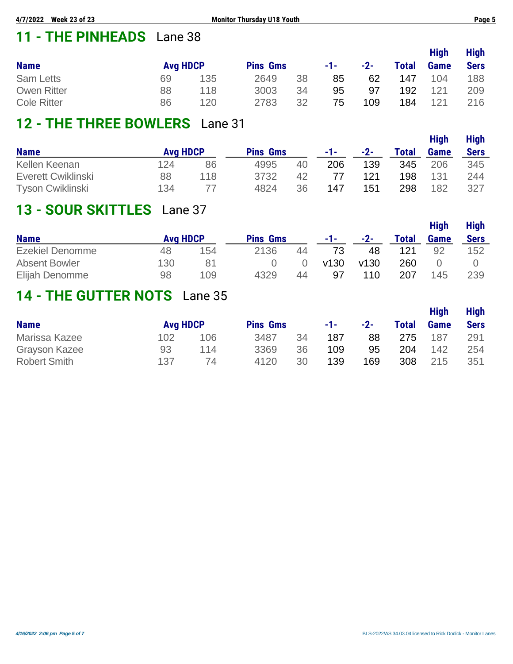# **11 - THE PINHEADS** Lane 38

|                    |                 |     |                 |    |     |       |              | <b>High</b> | <b>High</b> |
|--------------------|-----------------|-----|-----------------|----|-----|-------|--------------|-------------|-------------|
| <b>Name</b>        | <b>Avg HDCP</b> |     | <b>Pins Gms</b> |    | -1- | $-2-$ | <b>Total</b> | <b>Game</b> | <b>Sers</b> |
| <b>Sam Letts</b>   | 69              | 135 | 2649            | 38 | 85  | 62    | 147          | 104         | 188         |
| <b>Owen Ritter</b> | 88              | 118 | 3003            | 34 | 95  | 97    | 192          | 121         | 209         |
| <b>Cole Ritter</b> | 86              | 120 | 2783            | 32 | 75  | 109   | 184          | 121         | 216         |

## **12 - THE THREE BOWLERS** Lane 31

|                         |                 |     |                 |    |     |       |              | <b>High</b> | <b>High</b> |
|-------------------------|-----------------|-----|-----------------|----|-----|-------|--------------|-------------|-------------|
| <b>Name</b>             | <b>Avg HDCP</b> |     | <b>Pins Gms</b> |    | -1- | $-2-$ | <b>Total</b> | <b>Game</b> | <b>Sers</b> |
| Kellen Keenan           | 124             | 86  | 4995            | 40 | 206 | 139   | 345          | 206         | 345         |
| Everett Cwiklinski      | 88              | 118 | 3732            | 42 |     | 121   | 198          | 131         | 244         |
| <b>Tyson Cwiklinski</b> | 134             |     | 4824            | 36 | 147 | 151   | 298          | 182         | 327         |

# **13 - SOUR SKITTLES** Lane 37

|                        |                 |     |                 |    |      |      |              | <b>High</b> | <b>High</b> |
|------------------------|-----------------|-----|-----------------|----|------|------|--------------|-------------|-------------|
| <b>Name</b>            | <b>Avg HDCP</b> |     | <b>Pins Gms</b> |    | -1-  | -2-  | <b>Total</b> | <b>Game</b> | <b>Sers</b> |
| <b>Ezekiel Denomme</b> | 48              | 154 | 2136            | 44 |      | 48   | 121          | 92          | 152         |
| <b>Absent Bowler</b>   | 130             | 81  |                 |    | v130 | v130 | 260          |             |             |
| Elijah Denomme         | 98              | 109 | 4329            | 44 | 97   | 110  | 207          | 145         | 239         |

## **14 - THE GUTTER NOTS** Lane 35

|                      |                 |     |                 |    |     |       |              | <b>High</b> | <b>High</b> |
|----------------------|-----------------|-----|-----------------|----|-----|-------|--------------|-------------|-------------|
| <b>Name</b>          | <b>Avg HDCP</b> |     | <b>Pins Gms</b> |    | -1- | $-2-$ | <b>Total</b> | <b>Game</b> | <b>Sers</b> |
| Marissa Kazee        | 102             | 106 | 3487            | 34 | 187 | 88    | 275          | 187         | 291         |
| <b>Grayson Kazee</b> | 93              | 114 | 3369            | 36 | 109 | 95    | 204          | 142         | 254         |
| <b>Robert Smith</b>  | 137             | 74  | 4120            | 30 | 139 | 169   | 308          | 215         | 351         |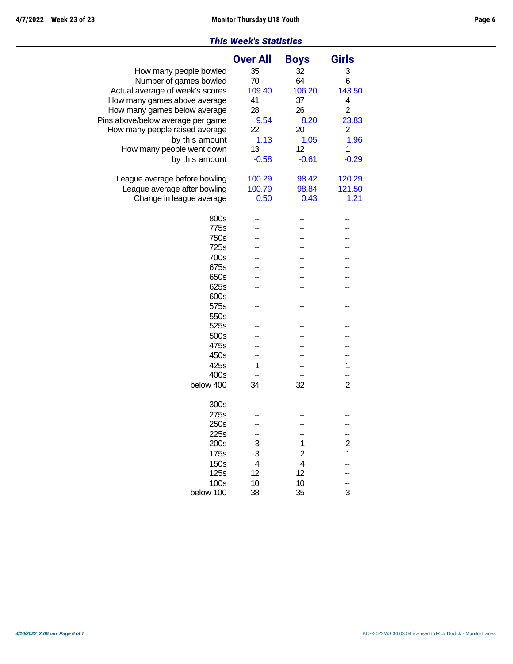### *This Week's Statistics*

|                                   | <b>Over All</b>         | <b>Boys</b>             | <b>Girls</b>            |
|-----------------------------------|-------------------------|-------------------------|-------------------------|
| How many people bowled            | 35                      | 32                      | 3                       |
| Number of games bowled            | 70                      | 64                      | 6                       |
| Actual average of week's scores   | 109.40                  | 106.20                  | 143.50                  |
| How many games above average      | 41                      | 37                      | 4                       |
| How many games below average      | 28                      | 26                      | $\overline{2}$          |
| Pins above/below average per game | 9.54                    | 8.20                    | 23.83                   |
| How many people raised average    | 22                      | 20                      | 2                       |
| by this amount                    | 1.13                    | 1.05                    | 1.96                    |
| How many people went down         | 13                      | 12                      | 1                       |
| by this amount                    | $-0.58$                 | $-0.61$                 | $-0.29$                 |
|                                   |                         |                         |                         |
| League average before bowling     | 100.29                  | 98.42                   | 120.29                  |
| League average after bowling      | 100.79                  | 98.84                   | 121.50                  |
| Change in league average          | 0.50                    | 0.43                    | 1.21                    |
| 800s                              |                         |                         |                         |
| 775s                              |                         |                         |                         |
| 750s                              |                         |                         |                         |
| 725s                              |                         |                         |                         |
| 700s                              |                         |                         |                         |
| 675s                              |                         |                         |                         |
| 650s                              |                         |                         |                         |
| 625s                              |                         |                         |                         |
| 600s                              |                         |                         |                         |
| 575s                              |                         |                         |                         |
| 550s                              |                         |                         |                         |
| 525s                              |                         |                         |                         |
| 500s                              |                         |                         |                         |
| 475s                              |                         |                         |                         |
| 450s                              |                         |                         |                         |
| 425s                              | 1                       |                         | 1                       |
| 400s                              |                         |                         |                         |
| below 400                         | 34                      | 32                      | $\overline{2}$          |
|                                   |                         |                         |                         |
| 300s                              |                         |                         |                         |
| 275s                              |                         |                         |                         |
| 250s                              |                         |                         |                         |
| 225s                              |                         |                         |                         |
| 200s                              | 3                       | 1                       | $\overline{\mathbf{c}}$ |
| 175s                              | 3                       | 2                       | 1                       |
| 150s                              | $\overline{\mathbf{4}}$ | $\overline{\mathbf{4}}$ |                         |
| 125s                              | 12                      | 12                      |                         |
| 100s                              | 10                      | 10                      |                         |
| below 100                         | 38                      | 35                      | 3                       |